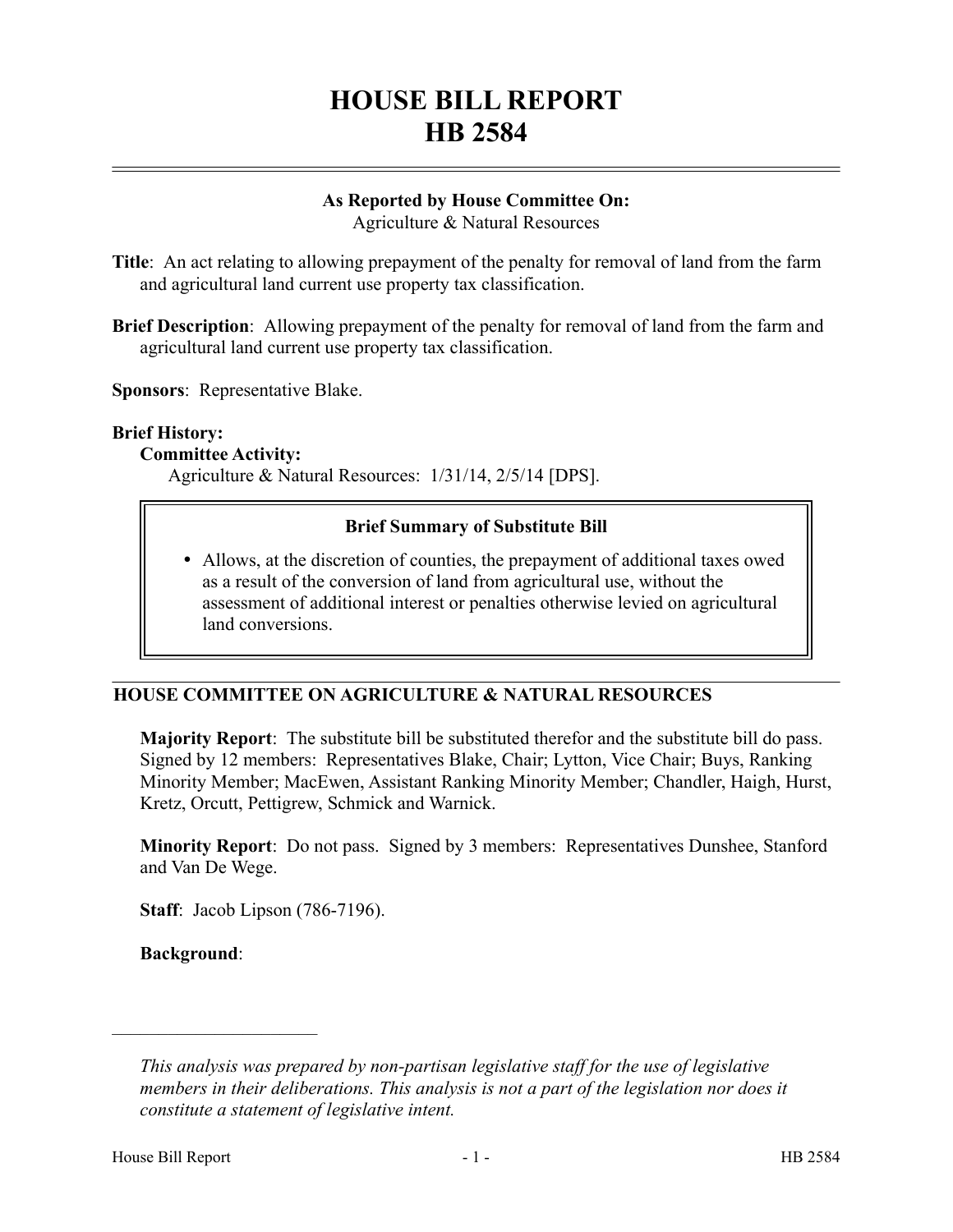# **HOUSE BILL REPORT HB 2584**

# **As Reported by House Committee On:**

Agriculture & Natural Resources

**Title**: An act relating to allowing prepayment of the penalty for removal of land from the farm and agricultural land current use property tax classification.

**Brief Description**: Allowing prepayment of the penalty for removal of land from the farm and agricultural land current use property tax classification.

**Sponsors**: Representative Blake.

#### **Brief History:**

#### **Committee Activity:**

Agriculture & Natural Resources: 1/31/14, 2/5/14 [DPS].

## **Brief Summary of Substitute Bill**

 Allows, at the discretion of counties, the prepayment of additional taxes owed as a result of the conversion of land from agricultural use, without the assessment of additional interest or penalties otherwise levied on agricultural land conversions.

# **HOUSE COMMITTEE ON AGRICULTURE & NATURAL RESOURCES**

**Majority Report**: The substitute bill be substituted therefor and the substitute bill do pass. Signed by 12 members: Representatives Blake, Chair; Lytton, Vice Chair; Buys, Ranking Minority Member; MacEwen, Assistant Ranking Minority Member; Chandler, Haigh, Hurst, Kretz, Orcutt, Pettigrew, Schmick and Warnick.

**Minority Report**: Do not pass. Signed by 3 members: Representatives Dunshee, Stanford and Van De Wege.

**Staff**: Jacob Lipson (786-7196).

**Background**:

––––––––––––––––––––––

*This analysis was prepared by non-partisan legislative staff for the use of legislative members in their deliberations. This analysis is not a part of the legislation nor does it constitute a statement of legislative intent.*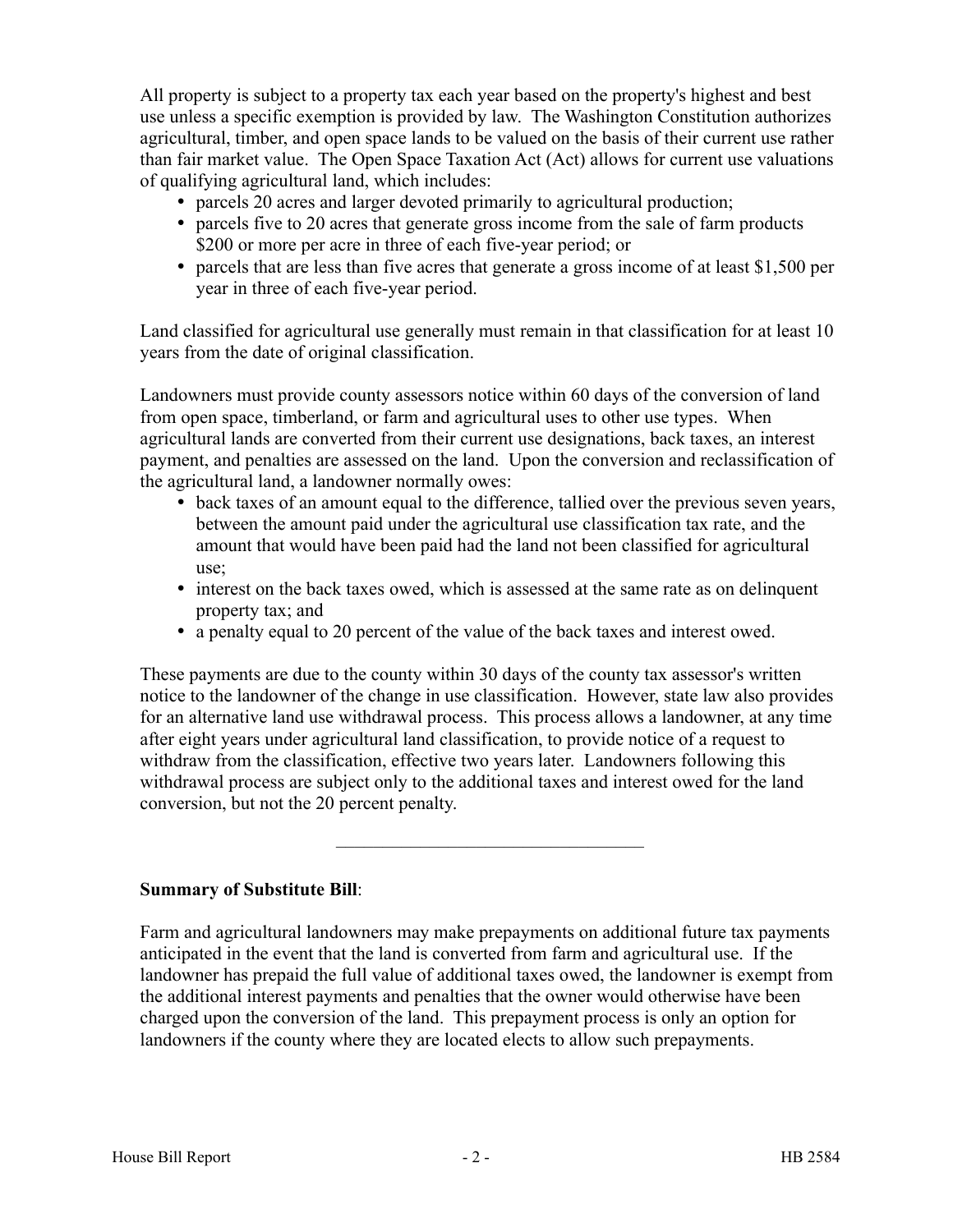All property is subject to a property tax each year based on the property's highest and best use unless a specific exemption is provided by law. The Washington Constitution authorizes agricultural, timber, and open space lands to be valued on the basis of their current use rather than fair market value. The Open Space Taxation Act (Act) allows for current use valuations of qualifying agricultural land, which includes:

- parcels 20 acres and larger devoted primarily to agricultural production;
- parcels five to 20 acres that generate gross income from the sale of farm products \$200 or more per acre in three of each five-year period; or
- parcels that are less than five acres that generate a gross income of at least \$1,500 per year in three of each five-year period.

Land classified for agricultural use generally must remain in that classification for at least 10 years from the date of original classification.

Landowners must provide county assessors notice within 60 days of the conversion of land from open space, timberland, or farm and agricultural uses to other use types. When agricultural lands are converted from their current use designations, back taxes, an interest payment, and penalties are assessed on the land. Upon the conversion and reclassification of the agricultural land, a landowner normally owes:

- back taxes of an amount equal to the difference, tallied over the previous seven years, between the amount paid under the agricultural use classification tax rate, and the amount that would have been paid had the land not been classified for agricultural use;
- interest on the back taxes owed, which is assessed at the same rate as on delinquent property tax; and
- a penalty equal to 20 percent of the value of the back taxes and interest owed.

These payments are due to the county within 30 days of the county tax assessor's written notice to the landowner of the change in use classification. However, state law also provides for an alternative land use withdrawal process. This process allows a landowner, at any time after eight years under agricultural land classification, to provide notice of a request to withdraw from the classification, effective two years later. Landowners following this withdrawal process are subject only to the additional taxes and interest owed for the land conversion, but not the 20 percent penalty.

–––––––––––––––––––––––––––––––––

**Summary of Substitute Bill**:

Farm and agricultural landowners may make prepayments on additional future tax payments anticipated in the event that the land is converted from farm and agricultural use. If the landowner has prepaid the full value of additional taxes owed, the landowner is exempt from the additional interest payments and penalties that the owner would otherwise have been charged upon the conversion of the land. This prepayment process is only an option for landowners if the county where they are located elects to allow such prepayments.